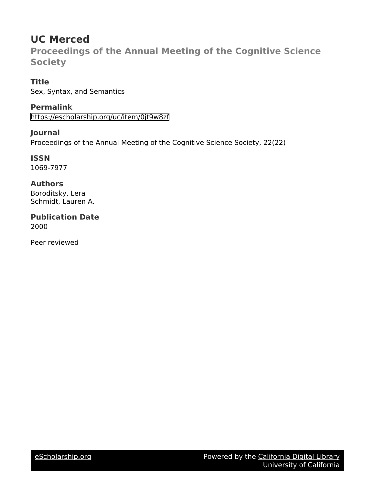# **UC Merced**

**Proceedings of the Annual Meeting of the Cognitive Science Society**

**Title** Sex, Syntax, and Semantics

**Permalink** <https://escholarship.org/uc/item/0jt9w8zf>

**Journal** Proceedings of the Annual Meeting of the Cognitive Science Society, 22(22)

**ISSN** 1069-7977

**Authors** Boroditsky, Lera Schmidt, Lauren A.

**Publication Date** 2000

Peer reviewed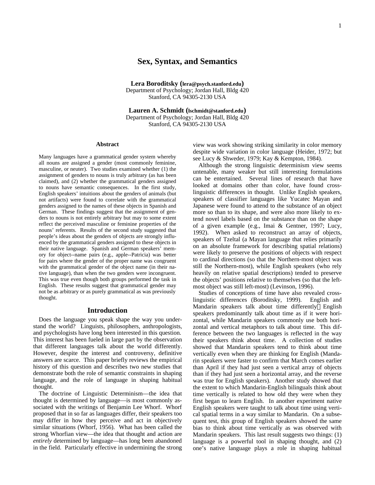# **Sex, Syntax, and Semantics**

**Lera Boroditsky (lera@psych.stanford.edu)** Department of Psychology; Jordan Hall, Bldg 420 Stanford, CA 94305-2130 USA

**Lauren A. Schmidt (lschmidt@stanford.edu)** Department of Psychology; Jordan Hall, Bldg 420 Stanford, CA 94305-2130 USA

#### **Abstract**

Many languages have a grammatical gender system whereby all nouns are assigned a gender (most commonly feminine, masculine, or neuter). Two studies examined whether (1) the assignment of genders to nouns is truly arbitrary (as has been claimed), and (2) whether the grammatical genders assigned to nouns have semantic consequences. In the first study, English speakers' intuitions about the genders of animals (but not artifacts) were found to correlate with the grammatical genders assigned to the names of these objects in Spanish and German. These findings suggest that the assignment of genders to nouns is not entirely arbitrary but may to some extent reflect the perceived masculine or feminine properties of the nouns' referents. Results of the second study suggested that people's ideas about the genders of objects are strongly influenced by the grammatical genders assigned to these objects in their native language. Spanish and German speakers' memory for object--name pairs (e.g., apple--Patricia) was better for pairs where the gender of the proper name was congruent with the grammatical gender of the object name (in their native language), than when the two genders were incongruent. This was true even though both groups performed the task in English. These results suggest that grammatical gender may not be as arbitrary or as purely grammatical as was previously thought.

# **Introduction**

Does the language you speak shape the way you understand the world? Linguists, philosophers, anthropologists, and psychologists have long been interested in this question. This interest has been fueled in large part by the observation that different languages talk about the world differently. However, despite the interest and controversy, definitive answers are scarce. This paper briefly reviews the empirical history of this question and describes two new studies that demonstrate both the role of semantic constraints in shaping language, and the role of language in shaping habitual thought.

The doctrine of Linguistic Determinism—the idea that thought is determined by language—is most commonly associated with the writings of Benjamin Lee Whorf. Whorf proposed that in so far as languages differ, their speakers too may differ in how they perceive and act in objectively similar situations (Whorf, 1956). What has been called the strong Whorfian view—the idea that thought and action are *entirely* determined by language—has long been abandoned in the field. Particularly effective in undermining the strong view was work showing striking similarity in color memory despite wide variation in color language (Heider, 1972; but see Lucy & Shweder, 1979; Kay & Kempton, 1984).

Although the strong linguistic determinism view seems untenable, many weaker but still interesting formulations can be entertained. Several lines of research that have looked at domains other than color, have found crosslinguistic differences in thought. Unlike English speakers, speakers of classifier languages like Yucatec Mayan and Japanese were found to attend to the substance of an object more so than to its shape, and were also more likely to extend novel labels based on the substance than on the shape of a given example (e.g., Imai & Gentner, 1997; Lucy, 1992). When asked to reconstruct an array of objects, speakers of Tzeltal (a Mayan language that relies primarily on an absolute framework for describing spatial relations) were likely to preserve the positions of objects with respect to cardinal directions (so that the Northern-most object was still the Northern-most), while English speakers (who rely heavily on relative spatial descriptions) tended to preserve the objects' positions relative to themselves (so that the leftmost object was still left-most) (Levinson, 1996).

Studies of conceptions of time have also revealed crosslinguistic differences (Boroditsky, 1999). English and Mandarin speakers talk about time differently-English speakers predominantly talk about time as if it were horizontal, while Mandarin speakers commonly use both horizontal and vertical metaphors to talk about time. This difference between the two languages is reflected in the way their speakers think about time. A collection of studies showed that Mandarin speakers tend to think about time vertically even when they are thinking for English (Mandarin speakers were faster to confirm that March comes earlier than April if they had just seen a vertical array of objects than if they had just seen a horizontal array, and the reverse was true for English speakers). Another study showed that the extent to which Mandarin-English bilinguals think about time vertically is related to how old they were when they first began to learn English. In another experiment native English speakers were taught to talk about time using vertical spatial terms in a way similar to Mandarin. On a subsequent test, this group of English speakers showed the same bias to think about time vertically as was observed with Mandarin speakers. This last result suggests two things: (1) language is a powerful tool in shaping thought, and (2) one's native language plays a role in shaping habitual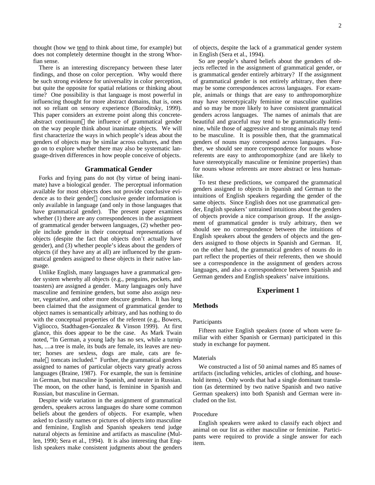thought (how we tend to think about time, for example) but does not completely determine thought in the strong Whorfian sense.

There is an interesting discrepancy between these later findings, and those on color perception. Why would there be such strong evidence for universality in color perception, but quite the opposite for spatial relations or thinking about time? One possibility is that language is most powerful in influencing thought for more abstract domains, that is, ones not so reliant on sensory experience (Boroditsky, 1999). This paper considers an extreme point along this concreteabstract continuum—the influence of grammatical gender on the way people think about inanimate objects. We will first characterize the ways in which people's ideas about the genders of objects may be similar across cultures, and then go on to explore whether there may also be systematic language-driven differences in how people conceive of objects.

#### **Grammatical Gender**

Forks and frying pans do not (by virtue of being inanimate) have a biological gender. The perceptual information available for most objects does not provide conclusive evidence as to their gender-conclusive gender information is only available in language (and only in those languages that have grammatical gender). The present paper examines whether  $(1)$  there are any correspondences in the assignment of grammatical gender between languages, (2) whether people include gender in their conceptual representations of objects (despite the fact that objects don't actually have gender), and (3) whether people's ideas about the genders of objects (if they have any at all) are influenced by the grammatical genders assigned to these objects in their native language.

Unlike English, many languages have a grammatical gender system whereby all objects (e.g., penguins, pockets, and toasters) are assigned a gender. Many languages only have masculine and feminine genders, but some also assign neuter, vegetative, and other more obscure genders. It has long been claimed that the assignment of grammatical gender to object names is semantically arbitrary, and has nothing to do with the conceptual properties of the referent (e.g., Bowers, Vigliocco, Stadthagen-Gonzalez & Vinson 1999). At first glance, this does appear to be the case. As Mark Twain noted, "In German, a young lady has no sex, while a turnip has, ....a tree is male, its buds are female, its leaves are neuter; horses are sexless, dogs are male, cats are female—tomcats included." Further, the grammatical genders assigned to names of particular objects vary greatly across languages (Braine, 1987). For example, the sun is feminine in German, but masculine in Spanish, and neuter in Russian. The moon, on the other hand, is feminine in Spanish and Russian, but masculine in German.

Despite wide variation in the assignment of grammatical genders, speakers across languages do share some common beliefs about the genders of objects. For example, when asked to classify names or pictures of objects into masculine and feminine, English and Spanish speakers tend judge natural objects as feminine and artifacts as masculine (Mullen, 1990; Sera et al., 1994). It is also interesting that English speakers make consistent judgments about the genders of objects, despite the lack of a grammatical gender system in English (Sera et al., 1994).

So are people's shared beliefs about the genders of objects reflected in the assignment of grammatical gender, or is grammatical gender entirely arbitrary? If the assignment of grammatical gender is not entirely arbitrary, then there may be some correspondences across languages. For example, animals or things that are easy to anthropomorphize may have stereotypically feminine or masculine qualities and so may be more likely to have consistent grammatical genders across languages. The names of animals that are beautiful and graceful may tend to be grammatically feminine, while those of aggressive and strong animals may tend to be masculine. It is possible then, that the grammatical genders of nouns may correspond across languages. Further, we should see more correspondence for nouns whose referents are easy to anthropomorphize (and are likely to have stereotypically masculine or feminine properties) than for nouns whose referents are more abstract or less humanlike.

To test these predictions, we compared the grammatical genders assigned to objects in Spanish and German to the intuitions of English speakers regarding the gender of the same objects. Since English does not use grammatical gender, English speakers' untrained intuitions about the genders of objects provide a nice comparison group. If the assignment of grammatical gender is truly arbitrary, then we should see no correspondence between the intuitions of English speakers about the genders of objects and the genders assigned to those objects in Spanish and German. If, on the other hand, the grammatical genders of nouns do in part reflect the properties of their referents, then we should see a correspondence in the assignment of genders across languages, and also a correspondence between Spanish and German genders and English speakers' naive intuitions.

# **Experiment 1**

# **Methods**

#### Participants

Fifteen native English speakers (none of whom were familiar with either Spanish or German) participated in this study in exchange for payment.

#### Materials

We constructed a list of 50 animal names and 85 names of artifacts (including vehicles, articles of clothing, and household items). Only words that had a single dominant translation (as determined by two native Spanish and two native German speakers) into both Spanish and German were included on the list.

# Procedure

English speakers were asked to classify each object and animal on our list as either masculine or feminine. Participants were required to provide a single answer for each item.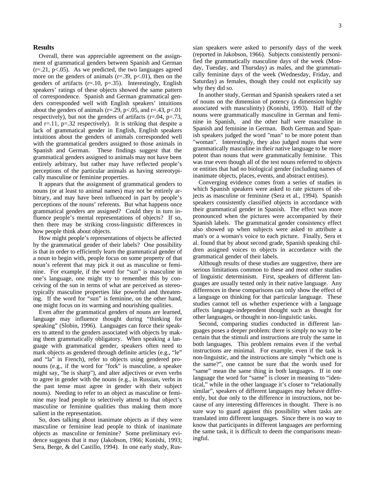# **Results**

Overall, there was appreciable agreement on the assignment of grammatical genders between Spanish and German  $(r=.21, p<.05)$ . As we predicted, the two languages agreed more on the genders of animals ( $r = .39$ ,  $p < .01$ ), then on the genders of artifacts  $(r=.10, p=.35)$ . Interestingly, English speakers' ratings of these objects showed the same pattern of correspondence. Spanish and German grammatical genders corresponded well with English speakers' intuitions about the genders of animals ( $r = 0.29$ ,  $p < 0.05$ , and  $r = 0.43$ ,  $p < 0.01$ respectively), but not the genders of artifacts  $(r=.04, p=.73,$ and  $r=11$ ,  $p=.32$  respectively). It is striking that despite a lack of grammatical gender in English, English speakers intuitions about the genders of animals corresponded well with the grammatical genders assigned to those animals in Spanish and German. These findings suggest that the grammatical genders assigned to animals may not have been entirely arbitrary, but rather may have reflected people's perceptions of the particular animals as having stereotypically masculine or feminine properties.

It appears that the assignment of grammatical genders to nouns (or at least to animal names) may not be entirely arbitrary, and may have been influenced in part by people's perceptions of the nouns' referents. But what happens once grammatical genders are assigned? Could they in turn influence people's mental representations of objects? If so, then there may be striking cross-linguistic differences in how people think about objects.

How might people's representations of objects be affected by the grammatical gender of their labels? One possibility is that in order to efficiently learn the grammatical gender of a noun to begin with, people focus on some property of that noun's referent that may pick it out as masculine or feminine. For example, if the word for "sun" is masculine in one's language, one might try to remember this by conceiving of the sun in terms of what are perceived as stereotypically masculine properties like powerful and threatening. If the word for "sun" is feminine, on the other hand, one might focus on its warming and nourishing qualities.

Even after the grammatical genders of nouns are learned, language may influence thought during "thinking for speaking" (Slobin, 1996). Languages can force their speakers to attend to the genders associated with objects by making them grammatically obligatory. When speaking a language with grammatical gender, speakers often need to mark objects as gendered through definite articles (e.g., "le" and "la" in French), refer to objects using gendered pronouns (e.g., if the word for "fork" is masculine, a speaker might say, "he is sharp"), and alter adjectives or even verbs to agree in gender with the nouns (e.g., in Russian, verbs in the past tense must agree in gender with their subject nouns). Needing to refer to an object as masculine or feminine may lead people to selectively attend to that object's masculine or feminine qualities thus making them more salient in the representation.

So, does talking about inanimate objects as if they were masculine or feminine lead people to think of inanimate objects as masculine or feminine? Some preliminary evidence suggests that it may (Jakobson, 1966; Konishi, 1993; Sera, Berge, & del Castillo, 1994). In one early study, Russian speakers were asked to personify days of the week (reported in Jakobson, 1966). Subjects consistently personified the grammatically masculine days of the week (Monday, Tuesday, and Thursday) as males, and the grammatically feminine days of the week (Wednesday, Friday, and Saturday) as females, though they could not explicitly say why they did so.

In another study, German and Spanish speakers rated a set of nouns on the dimension of potency (a dimension highly associated with masculinity) (Konishi, 1993). Half of the nouns were grammatically masculine in German and feminine in Spanish, and the other half were masculine in Spanish and feminine in German. Both German and Spanish speakers judged the word "man" to be more potent than "woman". Interestingly, they also judged nouns that were grammatically masculine in their native language to be more potent than nouns that were grammatically feminine. This was true even though all of the test nouns referred to objects or entities that had no biological gender (including names of inanimate objects, places, events, and abstract entities).

Converging evidence comes from a series of studies in which Spanish speakers were asked to rate pictures of objects as masculine or feminine (Sera et al., 1994). Spanish speakers consistently classified objects in accordance with their grammatical gender in Spanish. The effect was more pronounced when the pictures were accompanied by their Spanish labels. The grammatical gender consistency effect also showed up when subjects were asked to attribute a man's or a woman's voice to each picture. Finally, Sera et al. found that by about second grade, Spanish speaking children assigned voices to objects in accordance with the grammatical gender of their labels.

Although results of these studies are suggestive, there are serious limitations common to these and most other studies of linguistic determinism. First, speakers of different languages are usually tested only in their native language. Any differences in these comparisons can only show the effect of a language on thinking for that particular language. These studies cannot tell us whether experience with a language affects language-independent thought such as thought for other languages, or thought in non-linguistic tasks.

Second, comparing studies conducted in different languages poses a deeper problem: there is simply no way to be certain that the stimuli and instructions are truly the same in both languages. This problem remains even if the verbal instructions are minimal. For example, even if the task is non-linguistic, and the instructions are simply "which one is the same?", one cannot be sure that the words used for "same" mean the same thing in both languages. If in one language the word for "same" is closer in meaning to "identical," while in the other language it's closer to "relationally similar", speakers of different languages may behave differently, but due only to the difference in instructions, not because of any interesting differences in thought. There is no sure way to guard against this possibility when tasks are translated into different languages. Since there is no way to know that participants in different languages are performing the same task, it is difficult to deem the comparisons meaningful.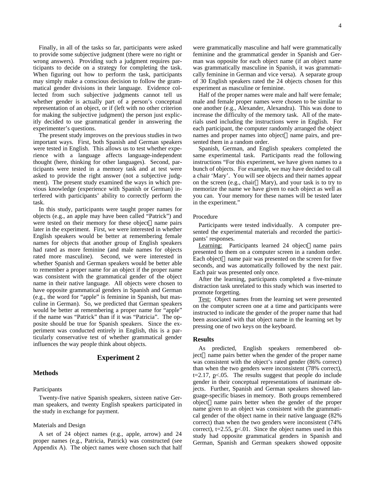Finally, in all of the tasks so far, participants were asked to provide some subjective judgment (there were no right or wrong answers). Providing such a judgment requires participants to decide on a strategy for completing the task. When figuring out how to perform the task, participants may simply make a conscious decision to follow the grammatical gender divisions in their language. Evidence collected from such subjective judgments cannot tell us whether gender is actually part of a person's conceptual representation of an object, or if (left with no other criterion for making the subjective judgment) the person just explicitly decided to use grammatical gender in answering the experimenter's questions.

The present study improves on the previous studies in two important ways. First, both Spanish and German speakers were tested in English. This allows us to test whether experience with a language affects language-independent thought (here, thinking for other languages). Second, participants were tested in a memory task and at test were asked to provide the right answer (not a subjective judgment). The present study examined the ways in which previous knowledge (experience with Spanish or German) interfered with participants' ability to correctly perform the task.

In this study, participants were taught proper names for objects (e.g., an apple may have been called "Patrick") and were tested on their memory for these object—name pairs later in the experiment. First, we were interested in whether English speakers would be better at remembering female names for objects that another group of English speakers had rated as more feminine (and male names for objects rated more masculine). Second, we were interested in whether Spanish and German speakers would be better able to remember a proper name for an object if the proper name was consistent with the grammatical gender of the object name in their native language. All objects were chosen to have opposite grammatical genders in Spanish and German (e.g., the word for "apple" is feminine in Spanish, but masculine in German). So, we predicted that German speakers would be better at remembering a proper name for "apple" if the name was "Patrick" than if it was "Patricia". The opposite should be true for Spanish speakers. Since the experiment was conducted entirely in English, this is a particularly conservative test of whether grammatical gender influences the way people think about objects.

### **Experiment 2**

### **Methods**

#### Participants

Twenty-five native Spanish speakers, sixteen native German speakers, and twenty English speakers participated in the study in exchange for payment.

#### Materials and Design

A set of 24 object names (e.g., apple, arrow) and 24 proper names (e.g., Patricia, Patrick) was constructed (see Appendix A). The object names were chosen such that half were grammatically masculine and half were grammatically feminine and the grammatical gender in Spanish and German was opposite for each object name (if an object name was grammatically masculine in Spanish, it was grammatically feminine in German and vice versa). A separate group of 30 English speakers rated the 24 objects chosen for this experiment as masculine or feminine.

Half of the proper names were male and half were female; male and female proper names were chosen to be similar to one another (e.g., Alexander, Alexandra). This was done to increase the difficulty of the memory task. All of the materials used including the instructions were in English. For each participant, the computer randomly arranged the object names and proper names into object—name pairs, and presented them in a random order.

Spanish, German, and English speakers completed the same experimental task. Participants read the following instructions "For this experiment, we have given names to a bunch of objects. For example, we may have decided to call a chair 'Mary'. You will see objects and their names appear on the screen (e.g., chair—Mary), and your task is to try to memorize the name we have given to each object as well as you can. Your memory for these names will be tested later in the experiment."

#### Procedure

Participants were tested individually. A computer presented the experimental materials and recorded the participants' responses.

Learning: Participants learned 24 object—name pairs presented to them on a computer screen in a random order. Each object—name pair was presented on the screen for five seconds, and was automatically followed by the next pair. Each pair was presented only once.

After the learning, participants completed a five-minute distraction task unrelated to this study which was inserted to promote forgetting.

Test: Object names from the learning set were presented on the computer screen one at a time and participants were instructed to indicate the gender of the proper name that had been associated with that object name in the learning set by pressing one of two keys on the keyboard.

# **Results**

As predicted, English speakers remembered object—name pairs better when the gender of the proper name was consistent with the object's rated gender (86% correct) than when the two genders were inconsistent (78% correct), t=2.17,  $p$ <.05. The results suggest that people do include gender in their conceptual representations of inanimate objects. Further, Spanish and German speakers showed language-specific biases in memory. Both groups remembered object—name pairs better when the gender of the proper name given to an object was consistent with the grammatical gender of the object name in their native language (82% correct) than when the two genders were inconsistent (74% correct),  $t=2.55$ ,  $p<.01$ . Since the object names used in this study had opposite grammatical genders in Spanish and German, Spanish and German speakers showed opposite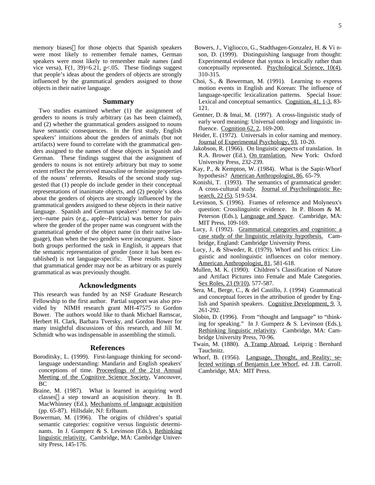memory biases—for those objects that Spanish speakers were most likely to remember female names, German speakers were most likely to remember male names (and vice versa),  $F(1, 39)=6.21$ ,  $p<.05$ . These findings suggest that people's ideas about the genders of objects are strongly influenced by the grammatical genders assigned to those objects in their native language.

#### **Summary**

Two studies examined whether (1) the assignment of genders to nouns is truly arbitrary (as has been claimed), and (2) whether the grammatical genders assigned to nouns have semantic consequences. In the first study, English speakers' intuitions about the genders of animals (but not artifacts) were found to correlate with the grammatical genders assigned to the names of these objects in Spanish and German. These findings suggest that the assignment of genders to nouns is not entirely arbitrary but may to some extent reflect the perceived masculine or feminine properties of the nouns' referents. Results of the second study suggested that (1) people do include gender in their conceptual representations of inanimate objects, and (2) people's ideas about the genders of objects are strongly influenced by the grammatical genders assigned to these objects in their native language. Spanish and German speakers' memory for object--name pairs (e.g., apple--Patricia) was better for pairs where the gender of the proper name was congruent with the grammatical gender of the object name (in their native language), than when the two genders were incongruent. Since both groups performed the task in English, it appears that the semantic representation of gender (once it has been established) is not language-specific. These results suggest that grammatical gender may not be as arbitrary or as purely grammatical as was previously thought.

# **Acknowledgments**

This research was funded by an NSF Graduate Research Fellowship to the first author. Partial support was also provided by NIMH research grant MH-47575 to Gordon Bower. The authors would like to thank Michael Ramscar, Herbert H. Clark, Barbara Tversky, and Gordon Bower for many insightful discussions of this research, and Jill M. Schmidt who was indispensable in assembling the stimuli.

#### **References**

- Boroditsky, L. (1999). First-language thinking for secondlanguage understanding: Mandarin and English speakers' conceptions of time. Proceedings of the 21st Annual Meeting of the Cognitive Science Society, Vancouver, BC
- Braine, M. (1987). What is learned in acquiring word  $classes$ —a step toward an acquisition theory. In B. MacWhinney (Ed.), Mechanisms of language acquisition (pp. 65-87). Hillsdale, NJ: Erlbaum.
- Bowerman, M. (1996). The origins of children's spatial semantic categories: cognitive versus linguistic determinants. In J. Gumperz & S. Levinson (Eds.), Rethinking linguistic relativity. Cambridge, MA: Cambridge University Press, 145-176.
- Bowers, J., Vigliocco, G., Stadthagen-Gonzalez, H. & Vi nson, D. (1999). Distinguishing language from thought: Experimental evidence that syntax is lexically rather than conceptually represented. Psychological Science, 10(4), 310-315.
- Choi, S., & Bowerman, M. (1991). Learning to express motion events in English and Korean: The influence of language-specific lexicalization patterns. Special Issue: Lexical and conceptual semantics. Cognition, 41, 1-3, 83- 121.
- Gentner, D. & Imai, M. (1997). A cross-linguistic study of early word meaning: Universal ontology and linguistic influence. Cognition 62, 2, 169-200.
- Heider, E. (1972). Universals in color naming and memory. Journal of Experimental Psychology, 93, 10-20.
- Jakobson, R. (1966). On linguistic aspects of translation. In R.A. Brower (Ed.), On translation. New York: Oxford University Press, 232-239.
- Kay, P., & Kempton, W. (1984). What is the Sapir-Whorf hypothesis? American Anthropologist, 86, 65-79.
- Konishi, T. (1993). The semantics of grammatical gender: A cross-cultural study. Journal of Psycholinguistic Research, 22(5), 519-534.
- Levinson, S. (1996). Frames of reference and Molyneux's question: Crosslinguistic evidence. In P. Bloom & M. Peterson (Eds.), Language and Space. Cambridge, MA: MIT Press, 109-169.
- Lucy, J. (1992). Grammatical categories and cognition: a case study of the linguistic relativity hypothesis. Cambridge, England: Cambridge University Press.
- Lucy, J., & Shweder, R. (1979). Whorf and his critics: Linguistic and nonlinguistic influences on color memory. American Anthropologist, 81*,* 581-618.
- Mullen, M. K. (1990). Children's Classification of Nature and Artifact Pictures into Female and Male Categories. Sex Roles, 23 (9/10), 577-587.
- Sera, M., Berge, C., & del Castillo, J. (1994) Grammatical and conceptual forces in the attribution of gender by English and Spanish speakers. Cognitive Development, 9, 3, 261-292.
- Slobin, D. (1996). From "thought and language" to "thinking for speaking." In J. Gumperz & S. Levinson (Eds.), Rethinking linguistic relativity. Cambridge, MA: Cambridge University Press, 70-96.
- Twain, M. (1880). A Tramp Abroad. Leipzig : Bernhard Tauchnitz.
- Whorf, B. (1956). Language, Thought, and Reality: selected writings of Benjamin Lee Whorf, ed. J.B. Carroll. Cambridge, MA: MIT Press.